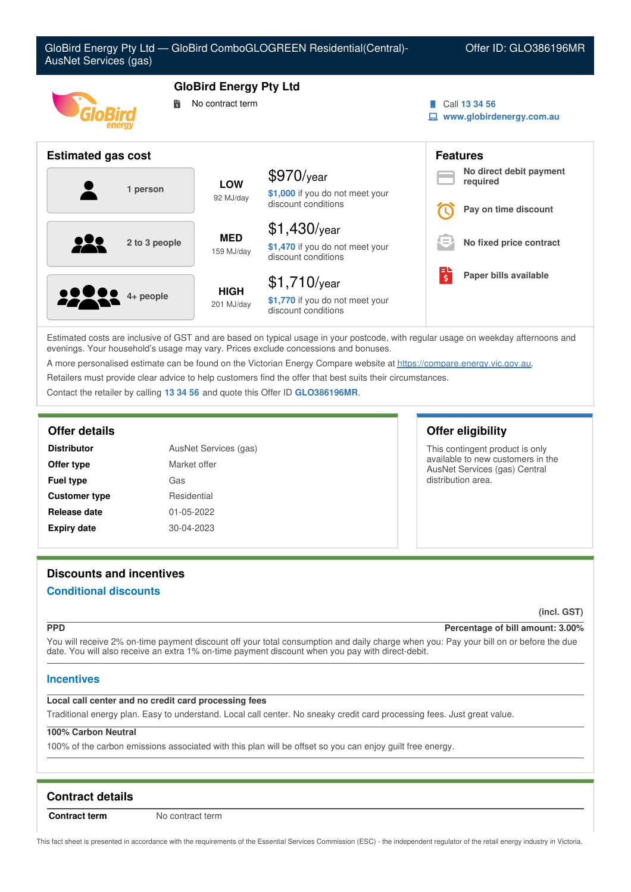

Estimated costs are inclusive of GST and are based on typical usage in your postcode, with regular usage on weekday afternoons and evenings. Your household's usage may vary. Prices exclude concessions and bonuses.

A more personalised estimate can be found on the Victorian Energy Compare website at <https://compare.energy.vic.gov.au>.

Retailers must provide clear advice to help customers find the offer that best suits their circumstances.

Contact the retailer by calling **13 34 56** and quote this Offer ID **GLO386196MR**.

| <b>Distributor</b>   | AusNet Services (gas) |  |
|----------------------|-----------------------|--|
| Offer type           | Market offer          |  |
| <b>Fuel type</b>     | Gas                   |  |
| <b>Customer type</b> | Residential           |  |
| Release date         | 01-05-2022            |  |
| <b>Expiry date</b>   | 30-04-2023            |  |

## **Offer details Offer eligibility**

This contingent product is only available to new customers in the AusNet Services (gas) Central distribution area.

# **Discounts and incentives**

# **Conditional discounts**

**(incl. GST)**

### **PPD Percentage of bill amount: 3.00%**

You will receive 2% on-time payment discount off your total consumption and daily charge when you: Pay your bill on or before the due date. You will also receive an extra 1% on-time payment discount when you pay with direct-debit.

## **Incentives**

### **Local call center and no credit card processing fees**

Traditional energy plan. Easy to understand. Local call center. No sneaky credit card processing fees. Just great value.

### **100% Carbon Neutral**

100% of the carbon emissions associated with this plan will be offset so you can enjoy guilt free energy.

# **Contract details**

**Contract term** No contract term

This fact sheet is presented in accordance with the requirements of the Essential Services Commission (ESC) - the independent regulator of the retail energy industry in Victoria.